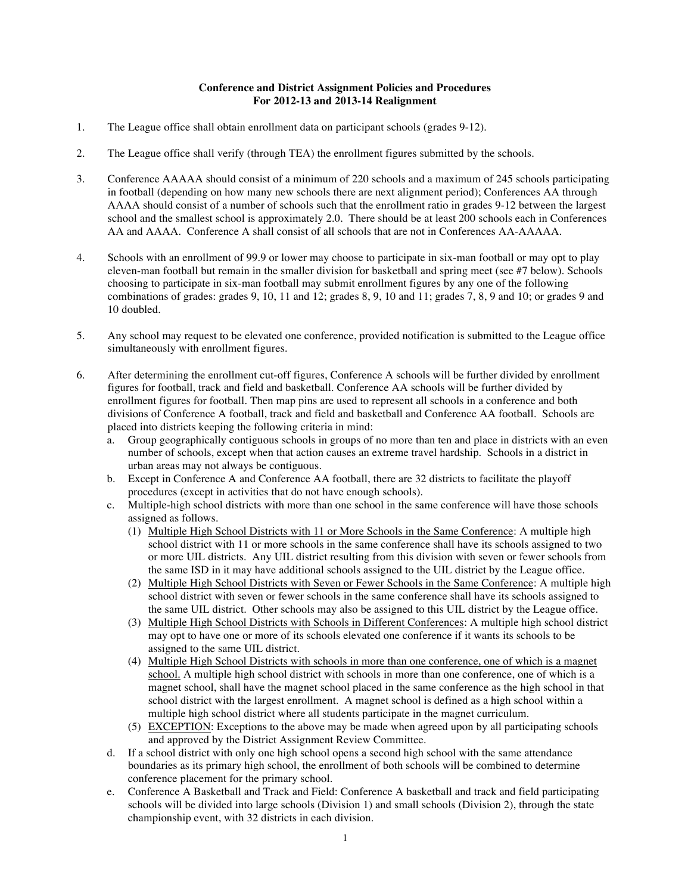## **Conference and District Assignment Policies and Procedures For 2012-13 and 2013-14 Realignment**

- 1. The League office shall obtain enrollment data on participant schools (grades 9-12).
- 2. The League office shall verify (through TEA) the enrollment figures submitted by the schools.
- 3. Conference AAAAA should consist of a minimum of 220 schools and a maximum of 245 schools participating in football (depending on how many new schools there are next alignment period); Conferences AA through AAAA should consist of a number of schools such that the enrollment ratio in grades 9-12 between the largest school and the smallest school is approximately 2.0. There should be at least 200 schools each in Conferences AA and AAAA. Conference A shall consist of all schools that are not in Conferences AA-AAAAA.
- 4. Schools with an enrollment of 99.9 or lower may choose to participate in six-man football or may opt to play eleven-man football but remain in the smaller division for basketball and spring meet (see #7 below). Schools choosing to participate in six-man football may submit enrollment figures by any one of the following combinations of grades: grades 9, 10, 11 and 12; grades 8, 9, 10 and 11; grades 7, 8, 9 and 10; or grades 9 and 10 doubled.
- 5. Any school may request to be elevated one conference, provided notification is submitted to the League office simultaneously with enrollment figures.
- 6. After determining the enrollment cut-off figures, Conference A schools will be further divided by enrollment figures for football, track and field and basketball. Conference AA schools will be further divided by enrollment figures for football. Then map pins are used to represent all schools in a conference and both divisions of Conference A football, track and field and basketball and Conference AA football. Schools are placed into districts keeping the following criteria in mind:
	- a. Group geographically contiguous schools in groups of no more than ten and place in districts with an even number of schools, except when that action causes an extreme travel hardship. Schools in a district in urban areas may not always be contiguous.
	- b. Except in Conference A and Conference AA football, there are 32 districts to facilitate the playoff procedures (except in activities that do not have enough schools).
	- c. Multiple-high school districts with more than one school in the same conference will have those schools assigned as follows.
		- (1) Multiple High School Districts with 11 or More Schools in the Same Conference: A multiple high school district with 11 or more schools in the same conference shall have its schools assigned to two or more UIL districts. Any UIL district resulting from this division with seven or fewer schools from the same ISD in it may have additional schools assigned to the UIL district by the League office.
		- (2) Multiple High School Districts with Seven or Fewer Schools in the Same Conference: A multiple high school district with seven or fewer schools in the same conference shall have its schools assigned to the same UIL district. Other schools may also be assigned to this UIL district by the League office.
		- (3) Multiple High School Districts with Schools in Different Conferences: A multiple high school district may opt to have one or more of its schools elevated one conference if it wants its schools to be assigned to the same UIL district.
		- (4) Multiple High School Districts with schools in more than one conference, one of which is a magnet school. A multiple high school district with schools in more than one conference, one of which is a magnet school, shall have the magnet school placed in the same conference as the high school in that school district with the largest enrollment. A magnet school is defined as a high school within a multiple high school district where all students participate in the magnet curriculum.
		- (5) EXCEPTION: Exceptions to the above may be made when agreed upon by all participating schools and approved by the District Assignment Review Committee.
	- d. If a school district with only one high school opens a second high school with the same attendance boundaries as its primary high school, the enrollment of both schools will be combined to determine conference placement for the primary school.
	- e. Conference A Basketball and Track and Field: Conference A basketball and track and field participating schools will be divided into large schools (Division 1) and small schools (Division 2), through the state championship event, with 32 districts in each division.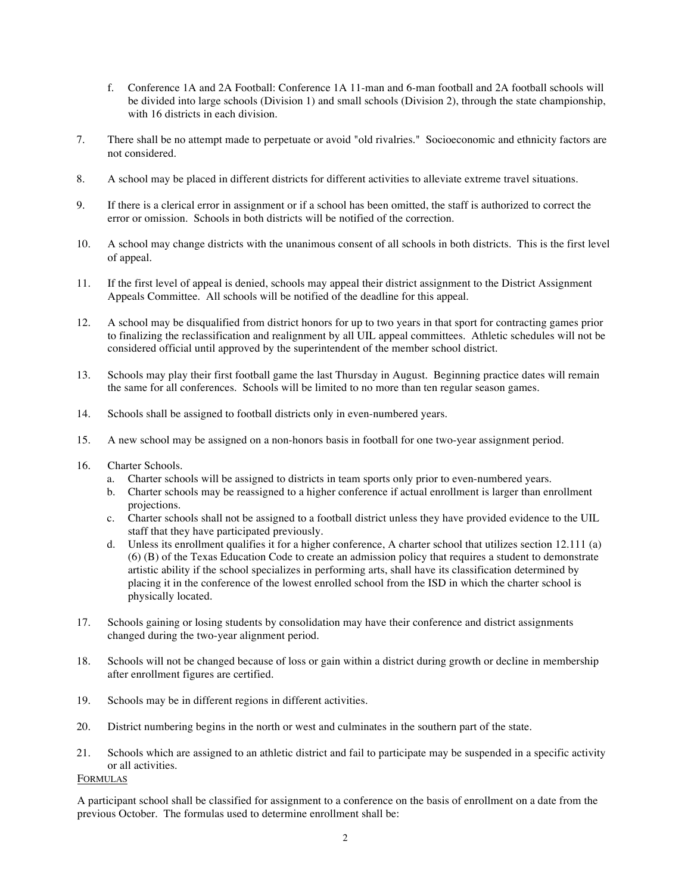- f. Conference 1A and 2A Football: Conference 1A 11-man and 6-man football and 2A football schools will be divided into large schools (Division 1) and small schools (Division 2), through the state championship, with 16 districts in each division.
- 7. There shall be no attempt made to perpetuate or avoid "old rivalries." Socioeconomic and ethnicity factors are not considered.
- 8. A school may be placed in different districts for different activities to alleviate extreme travel situations.
- 9. If there is a clerical error in assignment or if a school has been omitted, the staff is authorized to correct the error or omission. Schools in both districts will be notified of the correction.
- 10. A school may change districts with the unanimous consent of all schools in both districts. This is the first level of appeal.
- 11. If the first level of appeal is denied, schools may appeal their district assignment to the District Assignment Appeals Committee. All schools will be notified of the deadline for this appeal.
- 12. A school may be disqualified from district honors for up to two years in that sport for contracting games prior to finalizing the reclassification and realignment by all UIL appeal committees. Athletic schedules will not be considered official until approved by the superintendent of the member school district.
- 13. Schools may play their first football game the last Thursday in August. Beginning practice dates will remain the same for all conferences. Schools will be limited to no more than ten regular season games.
- 14. Schools shall be assigned to football districts only in even-numbered years.
- 15. A new school may be assigned on a non-honors basis in football for one two-year assignment period.
- 16. Charter Schools.
	- a. Charter schools will be assigned to districts in team sports only prior to even-numbered years.
	- b. Charter schools may be reassigned to a higher conference if actual enrollment is larger than enrollment projections.
	- c. Charter schools shall not be assigned to a football district unless they have provided evidence to the UIL staff that they have participated previously.
	- d. Unless its enrollment qualifies it for a higher conference, A charter school that utilizes section 12.111 (a) (6) (B) of the Texas Education Code to create an admission policy that requires a student to demonstrate artistic ability if the school specializes in performing arts, shall have its classification determined by placing it in the conference of the lowest enrolled school from the ISD in which the charter school is physically located.
- 17. Schools gaining or losing students by consolidation may have their conference and district assignments changed during the two-year alignment period.
- 18. Schools will not be changed because of loss or gain within a district during growth or decline in membership after enrollment figures are certified.
- 19. Schools may be in different regions in different activities.
- 20. District numbering begins in the north or west and culminates in the southern part of the state.
- 21. Schools which are assigned to an athletic district and fail to participate may be suspended in a specific activity or all activities.

## FORMULAS

A participant school shall be classified for assignment to a conference on the basis of enrollment on a date from the previous October. The formulas used to determine enrollment shall be: